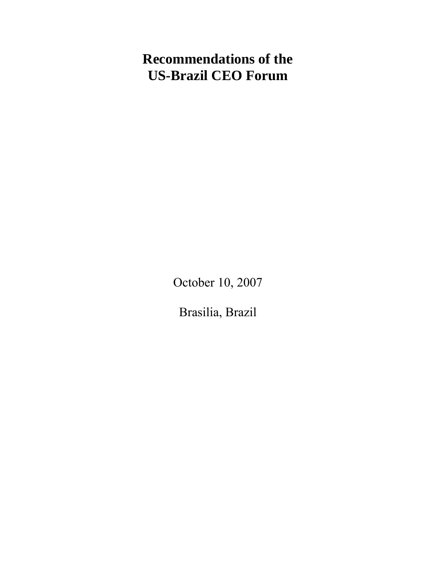# **Recommendations of the US-Brazil CEO Forum**

October 10, 2007

Brasilia, Brazil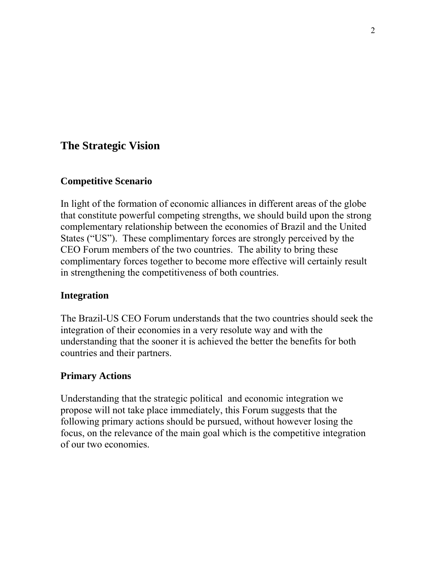# **The Strategic Vision**

# **Competitive Scenario**

In light of the formation of economic alliances in different areas of the globe that constitute powerful competing strengths, we should build upon the strong complementary relationship between the economies of Brazil and the United States ("US"). These complimentary forces are strongly perceived by the CEO Forum members of the two countries. The ability to bring these complimentary forces together to become more effective will certainly result in strengthening the competitiveness of both countries.

# **Integration**

The Brazil-US CEO Forum understands that the two countries should seek the integration of their economies in a very resolute way and with the understanding that the sooner it is achieved the better the benefits for both countries and their partners.

# **Primary Actions**

Understanding that the strategic political and economic integration we propose will not take place immediately, this Forum suggests that the following primary actions should be pursued, without however losing the focus, on the relevance of the main goal which is the competitive integration of our two economies.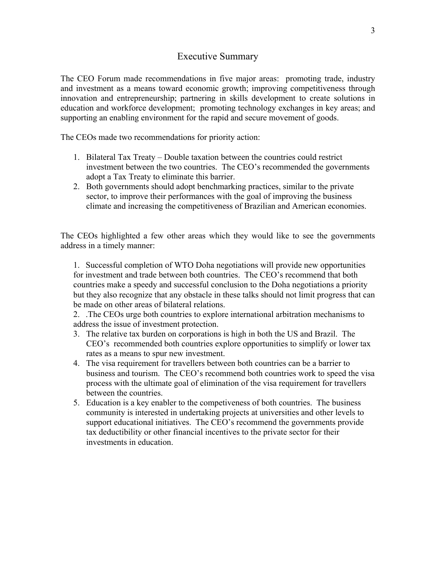### Executive Summary

The CEO Forum made recommendations in five major areas: promoting trade, industry and investment as a means toward economic growth; improving competitiveness through innovation and entrepreneurship; partnering in skills development to create solutions in education and workforce development; promoting technology exchanges in key areas; and supporting an enabling environment for the rapid and secure movement of goods.

The CEOs made two recommendations for priority action:

- 1. Bilateral Tax Treaty Double taxation between the countries could restrict investment between the two countries. The CEO's recommended the governments adopt a Tax Treaty to eliminate this barrier.
- 2. Both governments should adopt benchmarking practices, similar to the private sector, to improve their performances with the goal of improving the business climate and increasing the competitiveness of Brazilian and American economies.

The CEOs highlighted a few other areas which they would like to see the governments address in a timely manner:

1. Successful completion of WTO Doha negotiations will provide new opportunities for investment and trade between both countries. The CEO's recommend that both countries make a speedy and successful conclusion to the Doha negotiations a priority but they also recognize that any obstacle in these talks should not limit progress that can be made on other areas of bilateral relations.

2. .The CEOs urge both countries to explore international arbitration mechanisms to address the issue of investment protection.

- 3. The relative tax burden on corporations is high in both the US and Brazil. The CEO's recommended both countries explore opportunities to simplify or lower tax rates as a means to spur new investment.
- 4. The visa requirement for travellers between both countries can be a barrier to business and tourism. The CEO's recommend both countries work to speed the visa process with the ultimate goal of elimination of the visa requirement for travellers between the countries.
- 5. Education is a key enabler to the competiveness of both countries. The business community is interested in undertaking projects at universities and other levels to support educational initiatives. The CEO's recommend the governments provide tax deductibility or other financial incentives to the private sector for their investments in education.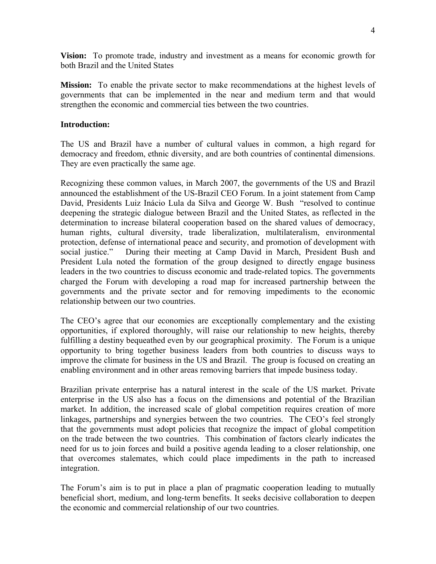**Vision:** To promote trade, industry and investment as a means for economic growth for both Brazil and the United States

**Mission:** To enable the private sector to make recommendations at the highest levels of governments that can be implemented in the near and medium term and that would strengthen the economic and commercial ties between the two countries.

#### **Introduction:**

The US and Brazil have a number of cultural values in common, a high regard for democracy and freedom, ethnic diversity, and are both countries of continental dimensions. They are even practically the same age.

Recognizing these common values, in March 2007, the governments of the US and Brazil announced the establishment of the US-Brazil CEO Forum. In a joint statement from Camp David, Presidents Luiz Inácio Lula da Silva and George W. Bush "resolved to continue deepening the strategic dialogue between Brazil and the United States, as reflected in the determination to increase bilateral cooperation based on the shared values of democracy, human rights, cultural diversity, trade liberalization, multilateralism, environmental protection, defense of international peace and security, and promotion of development with social justice." During their meeting at Camp David in March, President Bush and President Lula noted the formation of the group designed to directly engage business leaders in the two countries to discuss economic and trade-related topics. The governments charged the Forum with developing a road map for increased partnership between the governments and the private sector and for removing impediments to the economic relationship between our two countries.

The CEO's agree that our economies are exceptionally complementary and the existing opportunities, if explored thoroughly, will raise our relationship to new heights, thereby fulfilling a destiny bequeathed even by our geographical proximity. The Forum is a unique opportunity to bring together business leaders from both countries to discuss ways to improve the climate for business in the US and Brazil. The group is focused on creating an enabling environment and in other areas removing barriers that impede business today.

Brazilian private enterprise has a natural interest in the scale of the US market. Private enterprise in the US also has a focus on the dimensions and potential of the Brazilian market. In addition, the increased scale of global competition requires creation of more linkages, partnerships and synergies between the two countries. The CEO's feel strongly that the governments must adopt policies that recognize the impact of global competition on the trade between the two countries. This combination of factors clearly indicates the need for us to join forces and build a positive agenda leading to a closer relationship, one that overcomes stalemates, which could place impediments in the path to increased integration.

The Forum's aim is to put in place a plan of pragmatic cooperation leading to mutually beneficial short, medium, and long-term benefits. It seeks decisive collaboration to deepen the economic and commercial relationship of our two countries.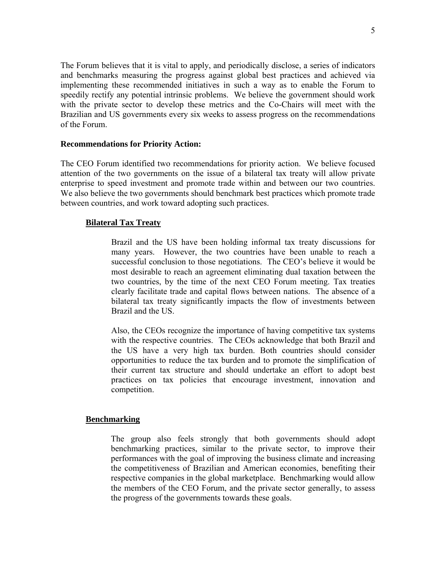The Forum believes that it is vital to apply, and periodically disclose, a series of indicators and benchmarks measuring the progress against global best practices and achieved via implementing these recommended initiatives in such a way as to enable the Forum to speedily rectify any potential intrinsic problems. We believe the government should work with the private sector to develop these metrics and the Co-Chairs will meet with the Brazilian and US governments every six weeks to assess progress on the recommendations of the Forum.

#### **Recommendations for Priority Action:**

The CEO Forum identified two recommendations for priority action. We believe focused attention of the two governments on the issue of a bilateral tax treaty will allow private enterprise to speed investment and promote trade within and between our two countries. We also believe the two governments should benchmark best practices which promote trade between countries, and work toward adopting such practices.

#### **Bilateral Tax Treaty**

Brazil and the US have been holding informal tax treaty discussions for many years. However, the two countries have been unable to reach a successful conclusion to those negotiations. The CEO's believe it would be most desirable to reach an agreement eliminating dual taxation between the two countries, by the time of the next CEO Forum meeting. Tax treaties clearly facilitate trade and capital flows between nations. The absence of a bilateral tax treaty significantly impacts the flow of investments between Brazil and the US.

Also, the CEOs recognize the importance of having competitive tax systems with the respective countries. The CEOs acknowledge that both Brazil and the US have a very high tax burden. Both countries should consider opportunities to reduce the tax burden and to promote the simplification of their current tax structure and should undertake an effort to adopt best practices on tax policies that encourage investment, innovation and competition.

#### **Benchmarking**

The group also feels strongly that both governments should adopt benchmarking practices, similar to the private sector, to improve their performances with the goal of improving the business climate and increasing the competitiveness of Brazilian and American economies, benefiting their respective companies in the global marketplace. Benchmarking would allow the members of the CEO Forum, and the private sector generally, to assess the progress of the governments towards these goals.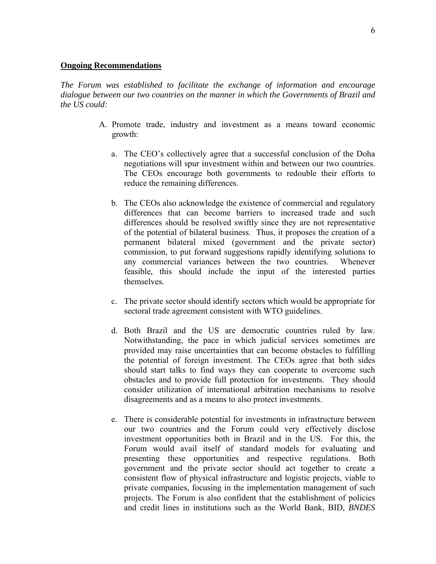#### **Ongoing Recommendations**

*The Forum was established to facilitate the exchange of information and encourage dialogue between our two countries on the manner in which the Governments of Brazil and the US could:* 

- A. Promote trade, industry and investment as a means toward economic growth:
	- a. The CEO's collectively agree that a successful conclusion of the Doha negotiations will spur investment within and between our two countries. The CEOs encourage both governments to redouble their efforts to reduce the remaining differences.
	- b. The CEOs also acknowledge the existence of commercial and regulatory differences that can become barriers to increased trade and such differences should be resolved swiftly since they are not representative of the potential of bilateral business. Thus, it proposes the creation of a permanent bilateral mixed (government and the private sector) commission, to put forward suggestions rapidly identifying solutions to any commercial variances between the two countries. Whenever feasible, this should include the input of the interested parties themselves.
	- c. The private sector should identify sectors which would be appropriate for sectoral trade agreement consistent with WTO guidelines.
	- d. Both Brazil and the US are democratic countries ruled by law. Notwithstanding, the pace in which judicial services sometimes are provided may raise uncertainties that can become obstacles to fulfilling the potential of foreign investment. The CEOs agree that both sides should start talks to find ways they can cooperate to overcome such obstacles and to provide full protection for investments. They should consider utilization of international arbitration mechanisms to resolve disagreements and as a means to also protect investments.
	- e. There is considerable potential for investments in infrastructure between our two countries and the Forum could very effectively disclose investment opportunities both in Brazil and in the US. For this, the Forum would avail itself of standard models for evaluating and presenting these opportunities and respective regulations. Both government and the private sector should act together to create a consistent flow of physical infrastructure and logistic projects, viable to private companies, focusing in the implementation management of such projects. The Forum is also confident that the establishment of policies and credit lines in institutions such as the World Bank, BID, *BNDES*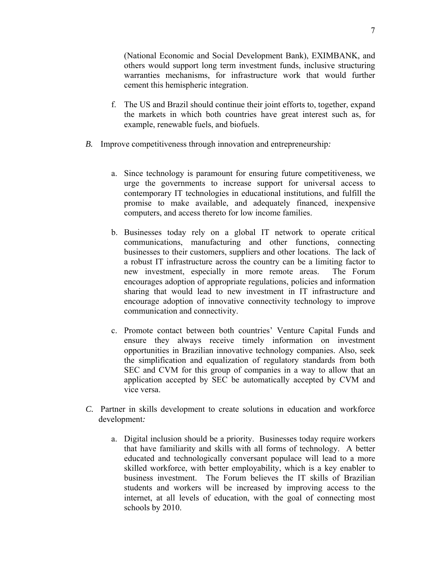(National Economic and Social Development Bank), EXIMBANK, and others would support long term investment funds, inclusive structuring warranties mechanisms, for infrastructure work that would further cement this hemispheric integration.

- f. The US and Brazil should continue their joint efforts to, together, expand the markets in which both countries have great interest such as, for example, renewable fuels, and biofuels.
- *B.* Improve competitiveness through innovation and entrepreneurship*:* 
	- a. Since technology is paramount for ensuring future competitiveness, we urge the governments to increase support for universal access to contemporary IT technologies in educational institutions, and fulfill the promise to make available, and adequately financed, inexpensive computers, and access thereto for low income families.
	- b. Businesses today rely on a global IT network to operate critical communications, manufacturing and other functions, connecting businesses to their customers, suppliers and other locations. The lack of a robust IT infrastructure across the country can be a limiting factor to new investment, especially in more remote areas. The Forum encourages adoption of appropriate regulations, policies and information sharing that would lead to new investment in IT infrastructure and encourage adoption of innovative connectivity technology to improve communication and connectivity.
	- c. Promote contact between both countries' Venture Capital Funds and ensure they always receive timely information on investment opportunities in Brazilian innovative technology companies. Also, seek the simplification and equalization of regulatory standards from both SEC and CVM for this group of companies in a way to allow that an application accepted by SEC be automatically accepted by CVM and vice versa.
- *C.* Partner in skills development to create solutions in education and workforce development*:* 
	- a. Digital inclusion should be a priority. Businesses today require workers that have familiarity and skills with all forms of technology. A better educated and technologically conversant populace will lead to a more skilled workforce, with better employability, which is a key enabler to business investment. The Forum believes the IT skills of Brazilian students and workers will be increased by improving access to the internet, at all levels of education, with the goal of connecting most schools by 2010.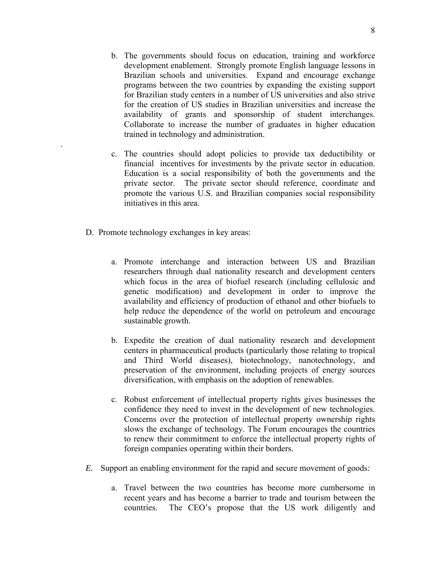- b. The governments should focus on education, training and workforce development enablement. Strongly promote English language lessons in Brazilian schools and universities. Expand and encourage exchange programs between the two countries by expanding the existing support for Brazilian study centers in a number of US universities and also strive for the creation of US studies in Brazilian universities and increase the availability of grants and sponsorship of student interchanges. Collaborate to increase the number of graduates in higher education trained in technology and administration.
- c. The countries should adopt policies to provide tax deductibility or financial incentives for investments by the private sector in education. Education is a social responsibility of both the governments and the private sector. The private sector should reference, coordinate and promote the various U.S. and Brazilian companies social responsibility initiatives in this area.
- D. Promote technology exchanges in key areas:

.

- a. Promote interchange and interaction between US and Brazilian researchers through dual nationality research and development centers which focus in the area of biofuel research (including cellulosic and genetic modification) and development in order to improve the availability and efficiency of production of ethanol and other biofuels to help reduce the dependence of the world on petroleum and encourage sustainable growth.
- b. Expedite the creation of dual nationality research and development centers in pharmaceutical products (particularly those relating to tropical and Third World diseases), biotechnology, nanotechnology, and preservation of the environment, including projects of energy sources diversification, with emphasis on the adoption of renewables.
- c. Robust enforcement of intellectual property rights gives businesses the confidence they need to invest in the development of new technologies. Concerns over the protection of intellectual property ownership rights slows the exchange of technology. The Forum encourages the countries to renew their commitment to enforce the intellectual property rights of foreign companies operating within their borders.
- *E.* Support an enabling environment for the rapid and secure movement of goods*:* 
	- a. Travel between the two countries has become more cumbersome in recent years and has become a barrier to trade and tourism between the countries. The CEO's propose that the US work diligently and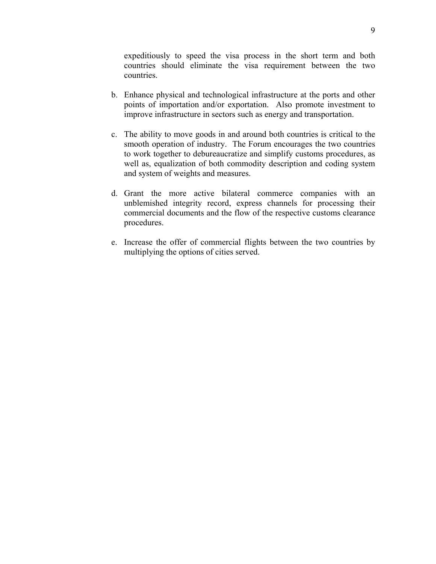expeditiously to speed the visa process in the short term and both countries should eliminate the visa requirement between the two countries.

- b. Enhance physical and technological infrastructure at the ports and other points of importation and/or exportation. Also promote investment to improve infrastructure in sectors such as energy and transportation.
- c. The ability to move goods in and around both countries is critical to the smooth operation of industry. The Forum encourages the two countries to work together to debureaucratize and simplify customs procedures, as well as, equalization of both commodity description and coding system and system of weights and measures.
- d. Grant the more active bilateral commerce companies with an unblemished integrity record, express channels for processing their commercial documents and the flow of the respective customs clearance procedures.
- e. Increase the offer of commercial flights between the two countries by multiplying the options of cities served.